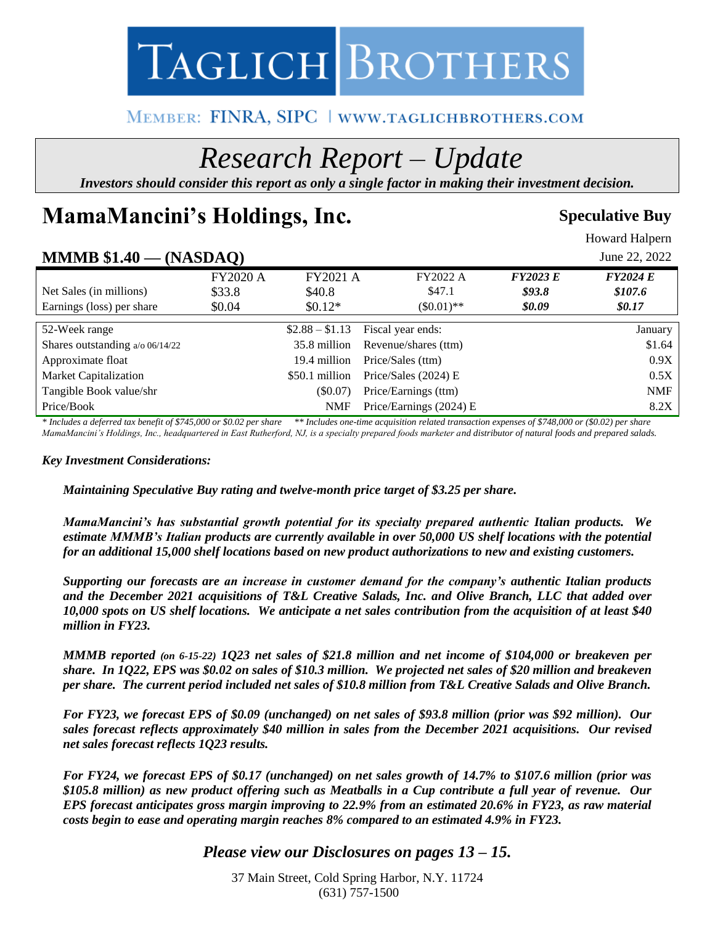

# MEMBER: FINRA, SIPC | WWW.TAGLICHBROTHERS.COM

# *Research Report – Update*

*Investors should consider this report as only a single factor in making their investment decision.*

# **MamaMancini's Holdings, Inc.** Speculative Buy

Howard Halpern

# **MMMB \$1.40 — (NASDAQ)** June 22, 2022

|                                 | $\left( \frac{1}{2} \right)$ |                 |                                   |                 |                      |
|---------------------------------|------------------------------|-----------------|-----------------------------------|-----------------|----------------------|
|                                 | <b>FY2020 A</b>              | <b>FY2021 A</b> | <b>FY2022 A</b>                   | <b>FY2023 E</b> | <b>FY2024 E</b>      |
| Net Sales (in millions)         | \$33.8                       | \$40.8          | \$47.1                            | \$93.8          | \$107.6              |
| Earnings (loss) per share       | \$0.04                       | $$0.12*$        | $(\$0.01)**$                      | \$0.09          | <i><b>\$0.17</b></i> |
|                                 |                              |                 |                                   |                 |                      |
| 52-Week range                   |                              |                 | $$2.88 - $1.13$ Fiscal year ends: |                 | January              |
| Shares outstanding a/o 06/14/22 |                              | 35.8 million    | Revenue/shares (ttm)              |                 | \$1.64               |
| Approximate float               |                              | 19.4 million    | Price/Sales (ttm)                 |                 | 0.9X                 |
| Market Capitalization           |                              | \$50.1 million  | Price/Sales $(2024)$ E            |                 | 0.5X                 |
| Tangible Book value/shr         |                              | (S0.07)         | Price/Earnings (ttm)              |                 | <b>NMF</b>           |
| Price/Book                      |                              | <b>NMF</b>      | Price/Earnings (2024) E           |                 | 8.2X                 |

*\* Includes a deferred tax benefit of \$745,000 or \$0.02 per share \*\* Includes one-time acquisition related transaction expenses of \$748,000 or (\$0.02) per share* MamaMancini's Holdings, Inc., headquartered in East Rutherford, NJ, is a specialty prepared foods marketer and distributor of natural foods and prepared salads.

#### *Key Investment Considerations:*

*Maintaining Speculative Buy rating and twelve-month price target of \$3.25 per share.*

*MamaMancini's has substantial growth potential for its specialty prepared authentic Italian products. We estimate MMMB's Italian products are currently available in over 50,000 US shelf locations with the potential for an additional 15,000 shelf locations based on new product authorizations to new and existing customers.*

*Supporting our forecasts are an increase in customer demand for the company's authentic Italian products and the December 2021 acquisitions of T&L Creative Salads, Inc. and Olive Branch, LLC that added over 10,000 spots on US shelf locations. We anticipate a net sales contribution from the acquisition of at least \$40 million in FY23.*

*MMMB reported (on 6-15-22) 1Q23 net sales of \$21.8 million and net income of \$104,000 or breakeven per share. In 1Q22, EPS was \$0.02 on sales of \$10.3 million. We projected net sales of \$20 million and breakeven per share. The current period included net sales of \$10.8 million from T&L Creative Salads and Olive Branch.* 

*For FY23, we forecast EPS of \$0.09 (unchanged) on net sales of \$93.8 million (prior was \$92 million). Our sales forecast reflects approximately \$40 million in sales from the December 2021 acquisitions. Our revised net sales forecast reflects 1Q23 results.* 

*For FY24, we forecast EPS of \$0.17 (unchanged) on net sales growth of 14.7% to \$107.6 million (prior was \$105.8 million) as new product offering such as Meatballs in a Cup contribute a full year of revenue. Our EPS forecast anticipates gross margin improving to 22.9% from an estimated 20.6% in FY23, as raw material costs begin to ease and operating margin reaches 8% compared to an estimated 4.9% in FY23.* 

## *Please view our Disclosures on pages 13 – 15.*

37 Main Street, Cold Spring Harbor, N.Y. 11724 (631) 757-1500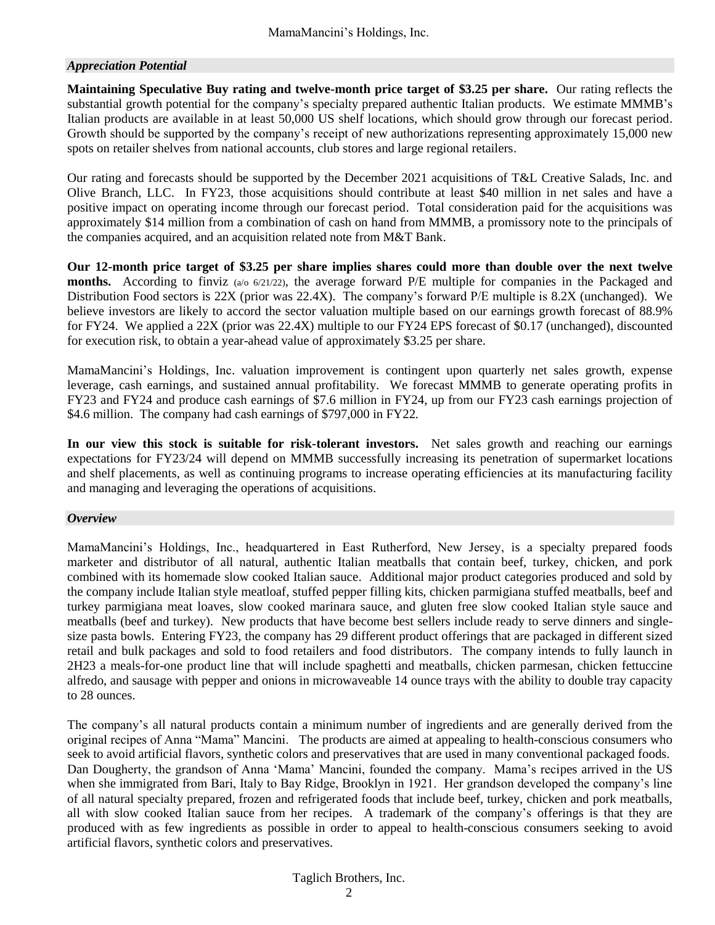#### *Appreciation Potential*

**Maintaining Speculative Buy rating and twelve-month price target of \$3.25 per share.** Our rating reflects the substantial growth potential for the company's specialty prepared authentic Italian products. We estimate MMMB's Italian products are available in at least 50,000 US shelf locations, which should grow through our forecast period. Growth should be supported by the company's receipt of new authorizations representing approximately 15,000 new spots on retailer shelves from national accounts, club stores and large regional retailers.

Our rating and forecasts should be supported by the December 2021 acquisitions of T&L Creative Salads, Inc. and Olive Branch, LLC. In FY23, those acquisitions should contribute at least \$40 million in net sales and have a positive impact on operating income through our forecast period. Total consideration paid for the acquisitions was approximately \$14 million from a combination of cash on hand from MMMB, a promissory note to the principals of the companies acquired, and an acquisition related note from M&T Bank.

**Our 12-month price target of \$3.25 per share implies shares could more than double over the next twelve months.** According to finviz (a/o 6/21/22), the average forward P/E multiple for companies in the Packaged and Distribution Food sectors is 22X (prior was 22.4X). The company's forward P/E multiple is 8.2X (unchanged). We believe investors are likely to accord the sector valuation multiple based on our earnings growth forecast of 88.9% for FY24. We applied a 22X (prior was 22.4X) multiple to our FY24 EPS forecast of \$0.17 (unchanged), discounted for execution risk, to obtain a year-ahead value of approximately \$3.25 per share.

MamaMancini's Holdings, Inc. valuation improvement is contingent upon quarterly net sales growth, expense leverage, cash earnings, and sustained annual profitability. We forecast MMMB to generate operating profits in FY23 and FY24 and produce cash earnings of \$7.6 million in FY24, up from our FY23 cash earnings projection of \$4.6 million. The company had cash earnings of \$797,000 in FY22.

**In our view this stock is suitable for risk-tolerant investors.** Net sales growth and reaching our earnings expectations for FY23/24 will depend on MMMB successfully increasing its penetration of supermarket locations and shelf placements, as well as continuing programs to increase operating efficiencies at its manufacturing facility and managing and leveraging the operations of acquisitions.

#### *Overview*

MamaMancini's Holdings, Inc., headquartered in East Rutherford, New Jersey, is a specialty prepared foods marketer and distributor of all natural, authentic Italian meatballs that contain beef, turkey, chicken, and pork combined with its homemade slow cooked Italian sauce. Additional major product categories produced and sold by the company include Italian style meatloaf, stuffed pepper filling kits, chicken parmigiana stuffed meatballs, beef and turkey parmigiana meat loaves, slow cooked marinara sauce, and gluten free slow cooked Italian style sauce and meatballs (beef and turkey). New products that have become best sellers include ready to serve dinners and singlesize pasta bowls. Entering FY23, the company has 29 different product offerings that are packaged in different sized retail and bulk packages and sold to food retailers and food distributors. The company intends to fully launch in 2H23 a meals-for-one product line that will include spaghetti and meatballs, chicken parmesan, chicken fettuccine alfredo, and sausage with pepper and onions in microwaveable 14 ounce trays with the ability to double tray capacity to 28 ounces.

The company's all natural products contain a minimum number of ingredients and are generally derived from the original recipes of Anna "Mama" Mancini. The products are aimed at appealing to health-conscious consumers who seek to avoid artificial flavors, synthetic colors and preservatives that are used in many conventional packaged foods. Dan Dougherty, the grandson of Anna 'Mama' Mancini, founded the company. Mama's recipes arrived in the US when she immigrated from Bari, Italy to Bay Ridge, Brooklyn in 1921. Her grandson developed the company's line of all natural specialty prepared, frozen and refrigerated foods that include beef, turkey, chicken and pork meatballs, all with slow cooked Italian sauce from her recipes. A trademark of the company's offerings is that they are produced with as few ingredients as possible in order to appeal to health-conscious consumers seeking to avoid artificial flavors, synthetic colors and preservatives.

#### Taglich Brothers, Inc.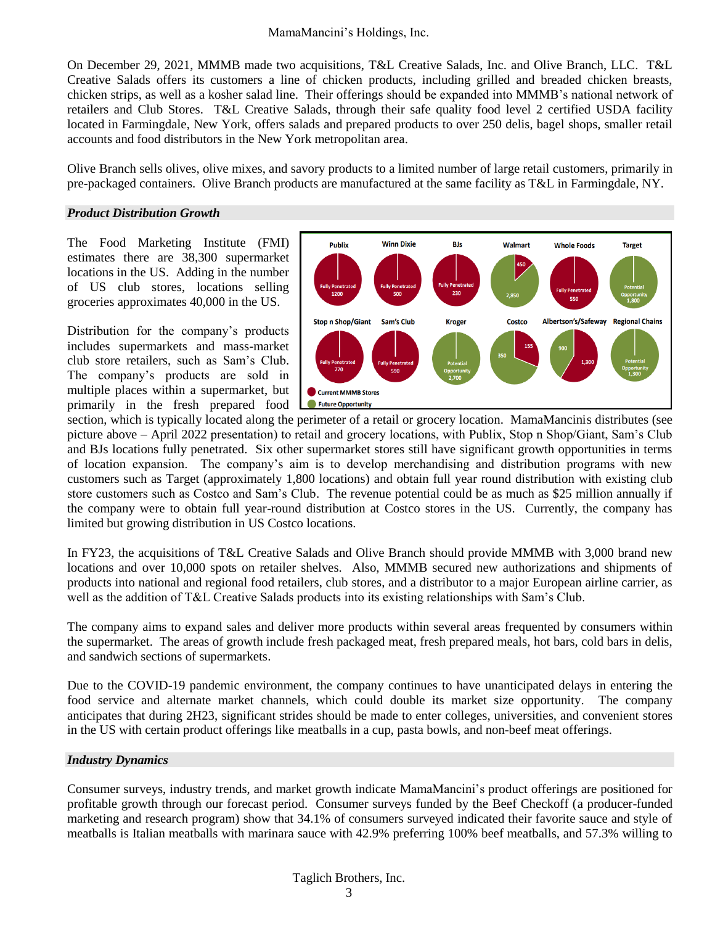On December 29, 2021, MMMB made two acquisitions, T&L Creative Salads, Inc. and Olive Branch, LLC. T&L Creative Salads offers its customers a line of chicken products, including grilled and breaded chicken breasts, chicken strips, as well as a kosher salad line. Their offerings should be expanded into MMMB's national network of retailers and Club Stores. T&L Creative Salads, through their safe quality food level 2 certified USDA facility located in Farmingdale, New York, offers salads and prepared products to over 250 delis, bagel shops, smaller retail accounts and food distributors in the New York metropolitan area.

Olive Branch sells olives, olive mixes, and savory products to a limited number of large retail customers, primarily in pre-packaged containers. Olive Branch products are manufactured at the same facility as T&L in Farmingdale, NY.

#### *Product Distribution Growth*

The Food Marketing Institute (FMI) estimates there are 38,300 supermarket locations in the US. Adding in the number of US club stores, locations selling groceries approximates 40,000 in the US.

Distribution for the company's products includes supermarkets and mass-market club store retailers, such as Sam's Club. The company's products are sold in multiple places within a supermarket, but primarily in the fresh prepared food



section, which is typically located along the perimeter of a retail or grocery location. MamaMancinis distributes (see picture above – April 2022 presentation) to retail and grocery locations, with Publix, Stop n Shop/Giant, Sam's Club and BJs locations fully penetrated. Six other supermarket stores still have significant growth opportunities in terms of location expansion. The company's aim is to develop merchandising and distribution programs with new customers such as Target (approximately 1,800 locations) and obtain full year round distribution with existing club store customers such as Costco and Sam's Club. The revenue potential could be as much as \$25 million annually if the company were to obtain full year-round distribution at Costco stores in the US. Currently, the company has limited but growing distribution in US Costco locations.

In FY23, the acquisitions of T&L Creative Salads and Olive Branch should provide MMMB with 3,000 brand new locations and over 10,000 spots on retailer shelves. Also, MMMB secured new authorizations and shipments of products into national and regional food retailers, club stores, and a distributor to a major European airline carrier, as well as the addition of T&L Creative Salads products into its existing relationships with Sam's Club.

The company aims to expand sales and deliver more products within several areas frequented by consumers within the supermarket. The areas of growth include fresh packaged meat, fresh prepared meals, hot bars, cold bars in delis, and sandwich sections of supermarkets.

Due to the COVID-19 pandemic environment, the company continues to have unanticipated delays in entering the food service and alternate market channels, which could double its market size opportunity. The company anticipates that during 2H23, significant strides should be made to enter colleges, universities, and convenient stores in the US with certain product offerings like meatballs in a cup, pasta bowls, and non-beef meat offerings.

#### *Industry Dynamics*

Consumer surveys, industry trends, and market growth indicate MamaMancini's product offerings are positioned for profitable growth through our forecast period. Consumer surveys funded by the Beef Checkoff (a producer-funded marketing and research program) show that 34.1% of consumers surveyed indicated their favorite sauce and style of meatballs is Italian meatballs with marinara sauce with 42.9% preferring 100% beef meatballs, and 57.3% willing to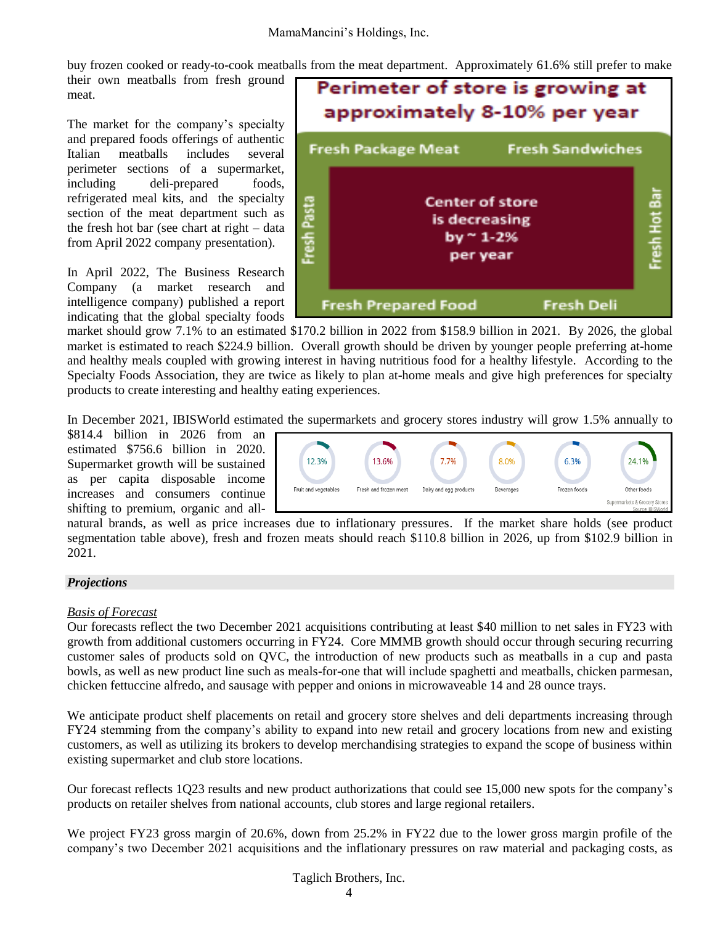buy frozen cooked or ready-to-cook meatballs from the meat department. Approximately 61.6% still prefer to make

their own meatballs from fresh ground meat.

The market for the company's specialty and prepared foods offerings of authentic Italian meatballs includes several perimeter sections of a supermarket, including deli-prepared foods, refrigerated meal kits, and the specialty section of the meat department such as the fresh hot bar (see chart at right – data from April 2022 company presentation).

In April 2022, The Business Research Company (a market research and intelligence company) published a report indicating that the global specialty foods



market should grow 7.1% to an estimated \$170.2 billion in 2022 from \$158.9 billion in 2021. By 2026, the global market is estimated to reach \$224.9 billion. Overall growth should be driven by younger people preferring at-home and healthy meals coupled with growing interest in having nutritious food for a healthy lifestyle. According to the Specialty Foods Association, they are twice as likely to plan at-home meals and give high preferences for specialty products to create interesting and healthy eating experiences.

In December 2021, IBISWorld estimated the supermarkets and grocery stores industry will grow 1.5% annually to

\$814.4 billion in 2026 from an estimated \$756.6 billion in 2020. Supermarket growth will be sustained as per capita disposable income increases and consumers continue shifting to premium, organic and all-



natural brands, as well as price increases due to inflationary pressures. If the market share holds (see product segmentation table above), fresh and frozen meats should reach \$110.8 billion in 2026, up from \$102.9 billion in 2021.

#### *Projections*

#### *Basis of Forecast*

Our forecasts reflect the two December 2021 acquisitions contributing at least \$40 million to net sales in FY23 with growth from additional customers occurring in FY24. Core MMMB growth should occur through securing recurring customer sales of products sold on QVC, the introduction of new products such as meatballs in a cup and pasta bowls, as well as new product line such as meals-for-one that will include spaghetti and meatballs, chicken parmesan, chicken fettuccine alfredo, and sausage with pepper and onions in microwaveable 14 and 28 ounce trays.

We anticipate product shelf placements on retail and grocery store shelves and deli departments increasing through FY24 stemming from the company's ability to expand into new retail and grocery locations from new and existing customers, as well as utilizing its brokers to develop merchandising strategies to expand the scope of business within existing supermarket and club store locations.

Our forecast reflects 1Q23 results and new product authorizations that could see 15,000 new spots for the company's products on retailer shelves from national accounts, club stores and large regional retailers.

We project FY23 gross margin of 20.6%, down from 25.2% in FY22 due to the lower gross margin profile of the company's two December 2021 acquisitions and the inflationary pressures on raw material and packaging costs, as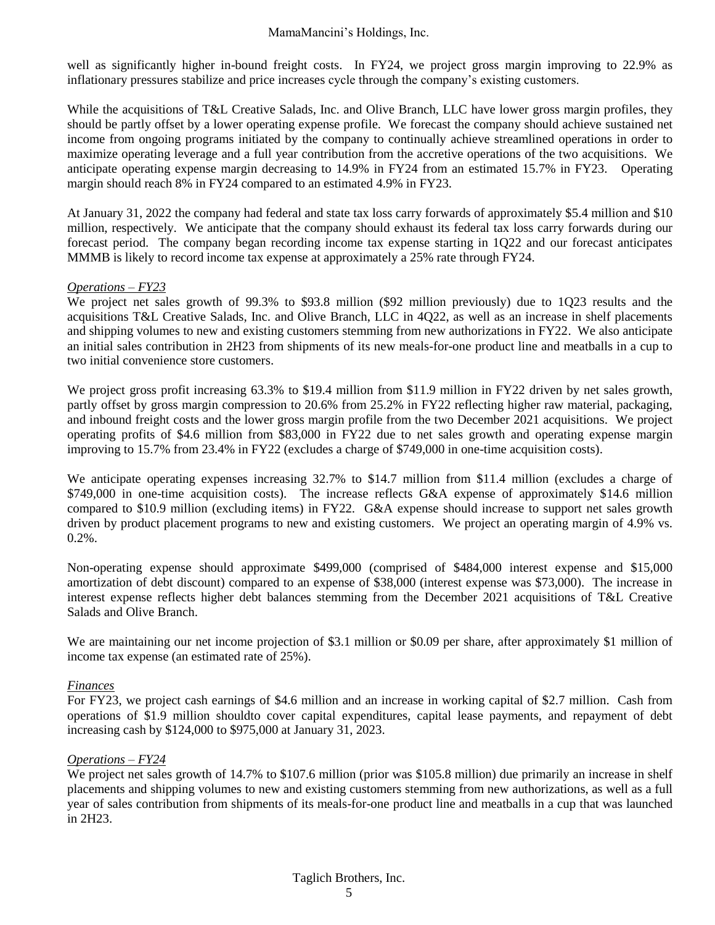well as significantly higher in-bound freight costs. In FY24, we project gross margin improving to 22.9% as inflationary pressures stabilize and price increases cycle through the company's existing customers.

While the acquisitions of T&L Creative Salads, Inc. and Olive Branch, LLC have lower gross margin profiles, they should be partly offset by a lower operating expense profile. We forecast the company should achieve sustained net income from ongoing programs initiated by the company to continually achieve streamlined operations in order to maximize operating leverage and a full year contribution from the accretive operations of the two acquisitions. We anticipate operating expense margin decreasing to 14.9% in FY24 from an estimated 15.7% in FY23. Operating margin should reach 8% in FY24 compared to an estimated 4.9% in FY23.

At January 31, 2022 the company had federal and state tax loss carry forwards of approximately \$5.4 million and \$10 million, respectively. We anticipate that the company should exhaust its federal tax loss carry forwards during our forecast period. The company began recording income tax expense starting in 1Q22 and our forecast anticipates MMMB is likely to record income tax expense at approximately a 25% rate through FY24.

#### *Operations – FY23*

We project net sales growth of 99.3% to \$93.8 million (\$92 million previously) due to 1Q23 results and the acquisitions T&L Creative Salads, Inc. and Olive Branch, LLC in 4Q22, as well as an increase in shelf placements and shipping volumes to new and existing customers stemming from new authorizations in FY22. We also anticipate an initial sales contribution in 2H23 from shipments of its new meals-for-one product line and meatballs in a cup to two initial convenience store customers.

We project gross profit increasing 63.3% to \$19.4 million from \$11.9 million in FY22 driven by net sales growth, partly offset by gross margin compression to 20.6% from 25.2% in FY22 reflecting higher raw material, packaging, and inbound freight costs and the lower gross margin profile from the two December 2021 acquisitions. We project operating profits of \$4.6 million from \$83,000 in FY22 due to net sales growth and operating expense margin improving to 15.7% from 23.4% in FY22 (excludes a charge of \$749,000 in one-time acquisition costs).

We anticipate operating expenses increasing 32.7% to \$14.7 million from \$11.4 million (excludes a charge of \$749,000 in one-time acquisition costs). The increase reflects G&A expense of approximately \$14.6 million compared to \$10.9 million (excluding items) in FY22. G&A expense should increase to support net sales growth driven by product placement programs to new and existing customers. We project an operating margin of 4.9% vs. 0.2%.

Non-operating expense should approximate \$499,000 (comprised of \$484,000 interest expense and \$15,000 amortization of debt discount) compared to an expense of \$38,000 (interest expense was \$73,000). The increase in interest expense reflects higher debt balances stemming from the December 2021 acquisitions of T&L Creative Salads and Olive Branch.

We are maintaining our net income projection of \$3.1 million or \$0.09 per share, after approximately \$1 million of income tax expense (an estimated rate of 25%).

#### *Finances*

For FY23, we project cash earnings of \$4.6 million and an increase in working capital of \$2.7 million. Cash from operations of \$1.9 million shouldto cover capital expenditures, capital lease payments, and repayment of debt increasing cash by \$124,000 to \$975,000 at January 31, 2023.

#### *Operations – FY24*

We project net sales growth of 14.7% to \$107.6 million (prior was \$105.8 million) due primarily an increase in shelf placements and shipping volumes to new and existing customers stemming from new authorizations, as well as a full year of sales contribution from shipments of its meals-for-one product line and meatballs in a cup that was launched in 2H23.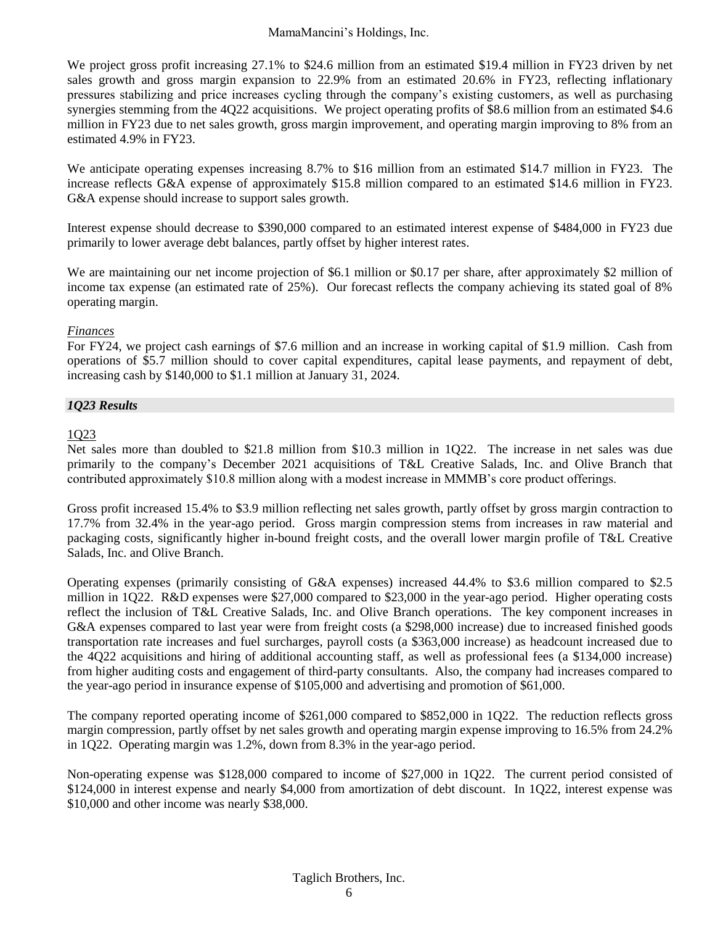We project gross profit increasing 27.1% to \$24.6 million from an estimated \$19.4 million in FY23 driven by net sales growth and gross margin expansion to 22.9% from an estimated 20.6% in FY23, reflecting inflationary pressures stabilizing and price increases cycling through the company's existing customers, as well as purchasing synergies stemming from the 4Q22 acquisitions. We project operating profits of \$8.6 million from an estimated \$4.6 million in FY23 due to net sales growth, gross margin improvement, and operating margin improving to 8% from an estimated 4.9% in FY23.

We anticipate operating expenses increasing 8.7% to \$16 million from an estimated \$14.7 million in FY23. The increase reflects G&A expense of approximately \$15.8 million compared to an estimated \$14.6 million in FY23. G&A expense should increase to support sales growth.

Interest expense should decrease to \$390,000 compared to an estimated interest expense of \$484,000 in FY23 due primarily to lower average debt balances, partly offset by higher interest rates.

We are maintaining our net income projection of \$6.1 million or \$0.17 per share, after approximately \$2 million of income tax expense (an estimated rate of 25%). Our forecast reflects the company achieving its stated goal of 8% operating margin.

#### *Finances*

For FY24, we project cash earnings of \$7.6 million and an increase in working capital of \$1.9 million. Cash from operations of \$5.7 million should to cover capital expenditures, capital lease payments, and repayment of debt, increasing cash by \$140,000 to \$1.1 million at January 31, 2024.

#### *1Q23 Results*

#### 1Q23

Net sales more than doubled to \$21.8 million from \$10.3 million in 1Q22. The increase in net sales was due primarily to the company's December 2021 acquisitions of T&L Creative Salads, Inc. and Olive Branch that contributed approximately \$10.8 million along with a modest increase in MMMB's core product offerings.

Gross profit increased 15.4% to \$3.9 million reflecting net sales growth, partly offset by gross margin contraction to 17.7% from 32.4% in the year-ago period. Gross margin compression stems from increases in raw material and packaging costs, significantly higher in-bound freight costs, and the overall lower margin profile of T&L Creative Salads, Inc. and Olive Branch.

Operating expenses (primarily consisting of G&A expenses) increased 44.4% to \$3.6 million compared to \$2.5 million in 1Q22. R&D expenses were \$27,000 compared to \$23,000 in the year-ago period. Higher operating costs reflect the inclusion of T&L Creative Salads, Inc. and Olive Branch operations. The key component increases in G&A expenses compared to last year were from freight costs (a \$298,000 increase) due to increased finished goods transportation rate increases and fuel surcharges, payroll costs (a \$363,000 increase) as headcount increased due to the 4Q22 acquisitions and hiring of additional accounting staff, as well as professional fees (a \$134,000 increase) from higher auditing costs and engagement of third-party consultants. Also, the company had increases compared to the year-ago period in insurance expense of \$105,000 and advertising and promotion of \$61,000.

The company reported operating income of \$261,000 compared to \$852,000 in 1Q22. The reduction reflects gross margin compression, partly offset by net sales growth and operating margin expense improving to 16.5% from 24.2% in 1Q22. Operating margin was 1.2%, down from 8.3% in the year-ago period.

Non-operating expense was \$128,000 compared to income of \$27,000 in 1Q22. The current period consisted of \$124,000 in interest expense and nearly \$4,000 from amortization of debt discount. In 1Q22, interest expense was \$10,000 and other income was nearly \$38,000.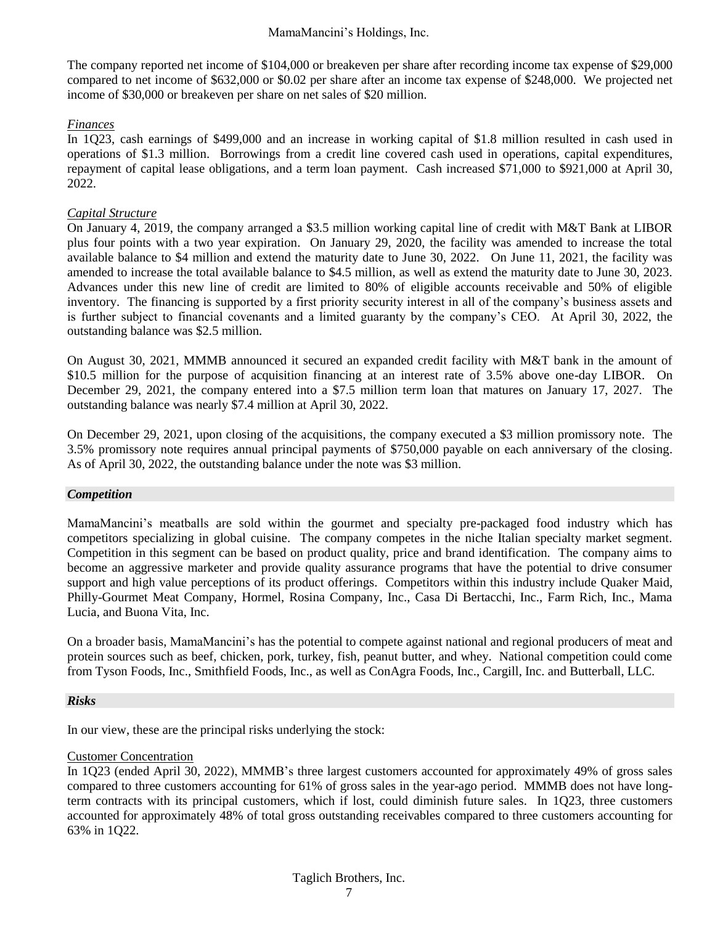The company reported net income of \$104,000 or breakeven per share after recording income tax expense of \$29,000 compared to net income of \$632,000 or \$0.02 per share after an income tax expense of \$248,000. We projected net income of \$30,000 or breakeven per share on net sales of \$20 million.

#### *Finances*

In 1Q23, cash earnings of \$499,000 and an increase in working capital of \$1.8 million resulted in cash used in operations of \$1.3 million. Borrowings from a credit line covered cash used in operations, capital expenditures, repayment of capital lease obligations, and a term loan payment. Cash increased \$71,000 to \$921,000 at April 30, 2022.

#### *Capital Structure*

On January 4, 2019, the company arranged a \$3.5 million working capital line of credit with M&T Bank at LIBOR plus four points with a two year expiration. On January 29, 2020, the facility was amended to increase the total available balance to \$4 million and extend the maturity date to June 30, 2022. On June 11, 2021, the facility was amended to increase the total available balance to \$4.5 million, as well as extend the maturity date to June 30, 2023. Advances under this new line of credit are limited to 80% of eligible accounts receivable and 50% of eligible inventory. The financing is supported by a first priority security interest in all of the company's business assets and is further subject to financial covenants and a limited guaranty by the company's CEO. At April 30, 2022, the outstanding balance was \$2.5 million.

On August 30, 2021, MMMB announced it secured an expanded credit facility with M&T bank in the amount of \$10.5 million for the purpose of acquisition financing at an interest rate of 3.5% above one-day LIBOR. On December 29, 2021, the company entered into a \$7.5 million term loan that matures on January 17, 2027. The outstanding balance was nearly \$7.4 million at April 30, 2022.

On December 29, 2021, upon closing of the acquisitions, the company executed a \$3 million promissory note. The 3.5% promissory note requires annual principal payments of \$750,000 payable on each anniversary of the closing. As of April 30, 2022, the outstanding balance under the note was \$3 million.

#### *Competition*

MamaMancini's meatballs are sold within the gourmet and specialty pre-packaged food industry which has competitors specializing in global cuisine. The company competes in the niche Italian specialty market segment. Competition in this segment can be based on product quality, price and brand identification. The company aims to become an aggressive marketer and provide quality assurance programs that have the potential to drive consumer support and high value perceptions of its product offerings. Competitors within this industry include Quaker Maid, Philly-Gourmet Meat Company, Hormel, Rosina Company, Inc., Casa Di Bertacchi, Inc., Farm Rich, Inc., Mama Lucia, and Buona Vita, Inc.

On a broader basis, MamaMancini's has the potential to compete against national and regional producers of meat and protein sources such as beef, chicken, pork, turkey, fish, peanut butter, and whey. National competition could come from Tyson Foods, Inc., Smithfield Foods, Inc., as well as ConAgra Foods, Inc., Cargill, Inc. and Butterball, LLC.

#### *Risks*

In our view, these are the principal risks underlying the stock:

#### Customer Concentration

In 1Q23 (ended April 30, 2022), MMMB's three largest customers accounted for approximately 49% of gross sales compared to three customers accounting for 61% of gross sales in the year-ago period. MMMB does not have longterm contracts with its principal customers, which if lost, could diminish future sales. In 1Q23, three customers accounted for approximately 48% of total gross outstanding receivables compared to three customers accounting for 63% in 1Q22.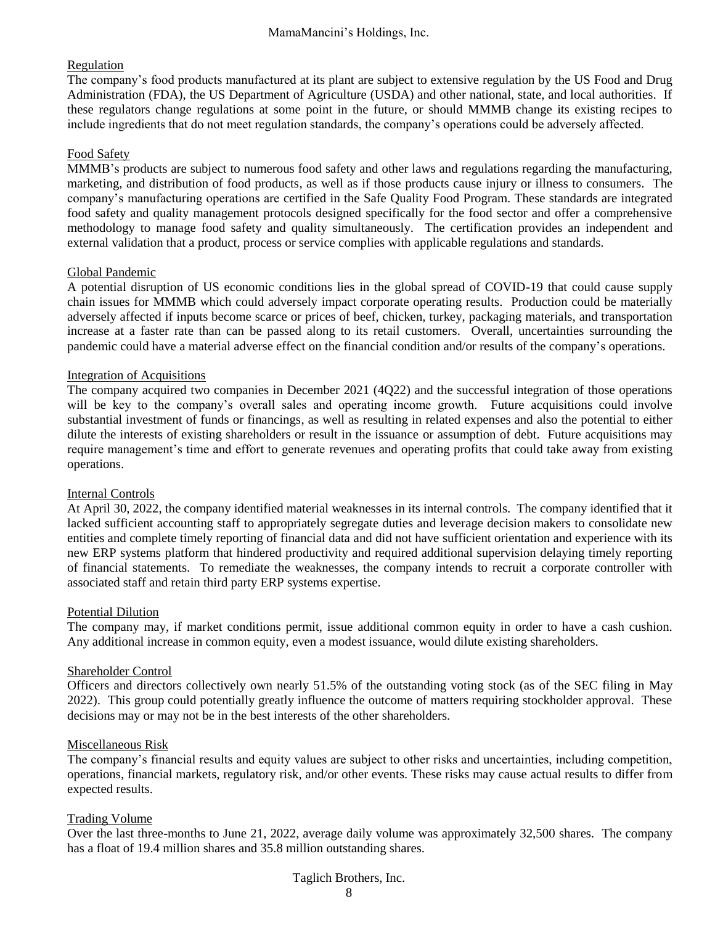#### Regulation

The company's food products manufactured at its plant are subject to extensive regulation by the US Food and Drug Administration (FDA), the US Department of Agriculture (USDA) and other national, state, and local authorities. If these regulators change regulations at some point in the future, or should MMMB change its existing recipes to include ingredients that do not meet regulation standards, the company's operations could be adversely affected.

#### Food Safety

MMMB's products are subject to numerous food safety and other laws and regulations regarding the manufacturing, marketing, and distribution of food products, as well as if those products cause injury or illness to consumers. The company's manufacturing operations are certified in the Safe Quality Food Program. These standards are integrated food safety and quality management protocols designed specifically for the food sector and offer a comprehensive methodology to manage food safety and quality simultaneously. The certification provides an independent and external validation that a product, process or service complies with applicable regulations and standards.

#### Global Pandemic

A potential disruption of US economic conditions lies in the global spread of COVID-19 that could cause supply chain issues for MMMB which could adversely impact corporate operating results. Production could be materially adversely affected if inputs become scarce or prices of beef, chicken, turkey, packaging materials, and transportation increase at a faster rate than can be passed along to its retail customers. Overall, uncertainties surrounding the pandemic could have a material adverse effect on the financial condition and/or results of the company's operations.

#### Integration of Acquisitions

The company acquired two companies in December 2021 (4Q22) and the successful integration of those operations will be key to the company's overall sales and operating income growth. Future acquisitions could involve substantial investment of funds or financings, as well as resulting in related expenses and also the potential to either dilute the interests of existing shareholders or result in the issuance or assumption of debt. Future acquisitions may require management's time and effort to generate revenues and operating profits that could take away from existing operations.

#### Internal Controls

At April 30, 2022, the company identified material weaknesses in its internal controls. The company identified that it lacked sufficient accounting staff to appropriately segregate duties and leverage decision makers to consolidate new entities and complete timely reporting of financial data and did not have sufficient orientation and experience with its new ERP systems platform that hindered productivity and required additional supervision delaying timely reporting of financial statements. To remediate the weaknesses, the company intends to recruit a corporate controller with associated staff and retain third party ERP systems expertise.

#### Potential Dilution

The company may, if market conditions permit, issue additional common equity in order to have a cash cushion. Any additional increase in common equity, even a modest issuance, would dilute existing shareholders.

#### Shareholder Control

Officers and directors collectively own nearly 51.5% of the outstanding voting stock (as of the SEC filing in May 2022). This group could potentially greatly influence the outcome of matters requiring stockholder approval. These decisions may or may not be in the best interests of the other shareholders.

#### Miscellaneous Risk

The company's financial results and equity values are subject to other risks and uncertainties, including competition, operations, financial markets, regulatory risk, and/or other events. These risks may cause actual results to differ from expected results.

#### Trading Volume

Over the last three-months to June 21, 2022, average daily volume was approximately 32,500 shares. The company has a float of 19.4 million shares and 35.8 million outstanding shares.

Taglich Brothers, Inc.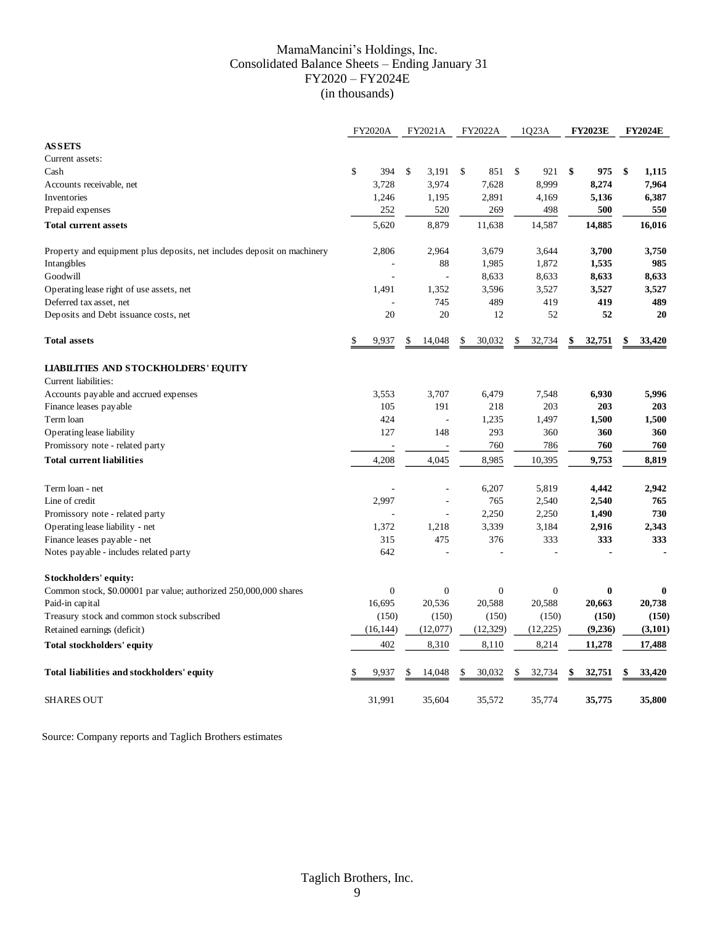#### MamaMancini's Holdings, Inc. Consolidated Balance Sheets – Ending January 31 FY2020 – FY2024E (in thousands)

|                                                                         |           | <b>FY2020A</b> |    | FY2021A          |    | FY2022A          |              | 1Q23A          | <b>FY2023E</b> | <b>FY2024E</b> |
|-------------------------------------------------------------------------|-----------|----------------|----|------------------|----|------------------|--------------|----------------|----------------|----------------|
| <b>ASSETS</b>                                                           |           |                |    |                  |    |                  |              |                |                |                |
| Current assets:                                                         |           |                |    |                  |    |                  |              |                |                |                |
| Cash                                                                    | \$        | 394            | \$ | 3,191            | \$ | 851              | $\mathbb{S}$ | 921            | \$<br>975      | \$<br>1,115    |
| Accounts receivable, net                                                |           | 3,728          |    | 3,974            |    | 7,628            |              | 8,999          | 8,274          | 7,964          |
| Inventories                                                             |           | 1,246          |    | 1,195            |    | 2,891            |              | 4,169          | 5,136          | 6,387          |
| Prepaid expenses                                                        |           | 252            |    | 520              |    | 269              |              | 498            | 500            | 550            |
| <b>Total current assets</b>                                             |           | 5,620          |    | 8,879            |    | 11,638           |              | 14,587         | 14,885         | 16,016         |
| Property and equipment plus deposits, net includes deposit on machinery |           | 2,806          |    | 2,964            |    | 3,679            |              | 3,644          | 3,700          | 3,750          |
| Intangibles                                                             |           |                |    | 88               |    | 1,985            |              | 1,872          | 1,535          | 985            |
| Goodwill                                                                |           |                |    |                  |    | 8,633            |              | 8,633          | 8,633          | 8,633          |
| Operating lease right of use assets, net                                |           | 1,491          |    | 1,352            |    | 3,596            |              | 3,527          | 3,527          | 3,527          |
| Deferred tax asset, net                                                 |           |                |    | 745              |    | 489              |              | 419            | 419            | 489            |
| Deposits and Debt issuance costs, net                                   |           | 20             |    | 20               |    | 12               |              | 52             | 52             | 20             |
| <b>Total assets</b>                                                     |           | 9,937          | S  | 14,048           |    | 30,032           |              | 32,734         | \$<br>32,751   | 33,420         |
| <b>LIABILITIES AND STOCKHOLDERS' EQUITY</b>                             |           |                |    |                  |    |                  |              |                |                |                |
| Current liabilities:                                                    |           |                |    |                  |    |                  |              |                |                |                |
| Accounts payable and accrued expenses                                   |           | 3,553<br>105   |    | 3,707<br>191     |    | 6,479<br>218     |              | 7,548<br>203   | 6,930<br>203   | 5,996<br>203   |
| Finance leases payable<br>Term loan                                     |           | 424            |    | ä,               |    | 1,235            |              | 1,497          | 1,500          | 1,500          |
| Operating lease liability                                               |           | 127            |    | 148              |    | 293              |              | 360            | 360            | 360            |
| Promissory note - related party                                         |           |                |    |                  |    | 760              |              | 786            | 760            | 760            |
|                                                                         |           |                |    |                  |    |                  |              |                |                |                |
| <b>Total current liabilities</b>                                        |           | 4,208          |    | 4,045            |    | 8,985            |              | 10,395         | 9,753          | 8,819          |
| Term loan - net                                                         |           |                |    |                  |    | 6,207            |              | 5,819          | 4,442          | 2,942          |
| Line of credit                                                          |           | 2,997          |    |                  |    | 765              |              | 2,540          | 2,540          | 765            |
| Promissory note - related party                                         |           |                |    | ÷,               |    | 2,250            |              | 2,250          | 1,490          | 730            |
| Operating lease liability - net                                         |           | 1,372          |    | 1,218            |    | 3.339            |              | 3,184          | 2,916          | 2,343          |
| Finance leases payable - net                                            |           | 315            |    | 475              |    | 376              |              | 333            | 333            | 333            |
| Notes payable - includes related party                                  |           | 642            |    |                  |    |                  |              |                |                |                |
| Stockholders' equity:                                                   |           |                |    |                  |    |                  |              |                |                |                |
| Common stock, \$0.00001 par value; authorized 250,000,000 shares        |           | $\mathbf{0}$   |    | $\boldsymbol{0}$ |    | $\boldsymbol{0}$ |              | $\overline{0}$ | $\bf{0}$       | $\bf{0}$       |
| Paid-in capital                                                         | 16,695    |                |    | 20,536           |    | 20,588           |              | 20,588         | 20,663         | 20,738         |
| Treasury stock and common stock subscribed                              |           | (150)          |    | (150)            |    | (150)            |              | (150)          | (150)          | (150)          |
| Retained earnings (deficit)                                             | (16, 144) |                |    | (12,077)         |    | (12, 329)        |              | (12, 225)      | (9,236)        | (3,101)        |
| Total stockholders' equity                                              |           | 402            |    | 8,310            |    | 8,110            |              | 8,214          | 11,278         | 17,488         |
| Total liabilities and stockholders' equity                              | \$        | 9,937          | \$ | 14,048           | \$ | 30,032           | \$           | 32,734         | \$<br>32,751   | \$<br>33,420   |
| <b>SHARES OUT</b>                                                       | 31,991    |                |    | 35,604           |    | 35,572           |              | 35,774         | 35,775         | 35,800         |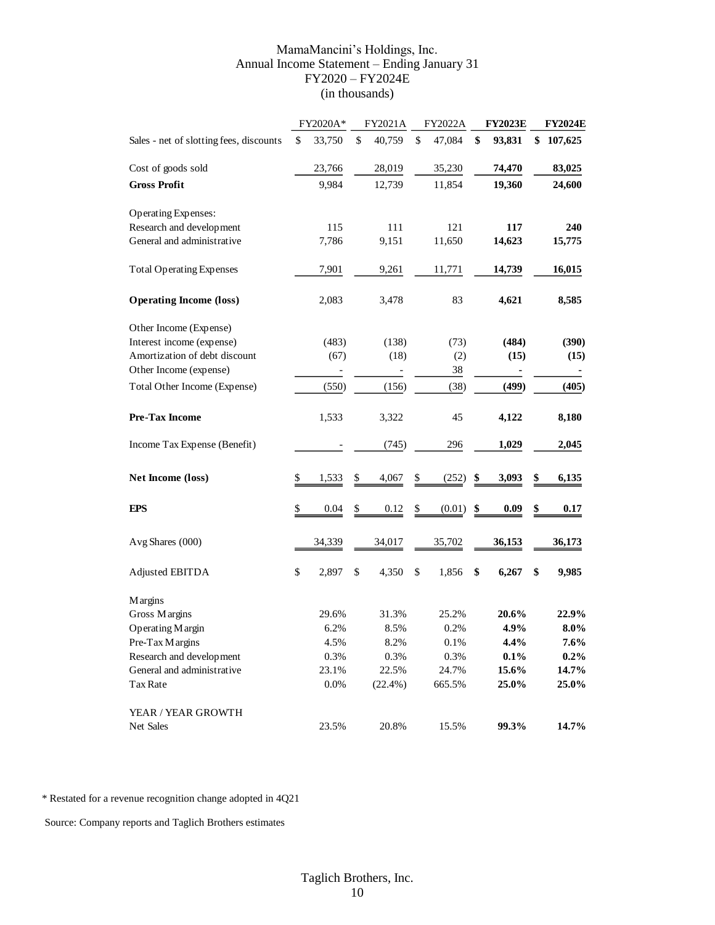#### MamaMancini's Holdings, Inc. Annual Income Statement – Ending January 31 FY2020 – FY2024E (in thousands)

|                                         | FY2020A*     | FY2021A      | FY2022A      | <b>FY2023E</b> | <b>FY2024E</b> |
|-----------------------------------------|--------------|--------------|--------------|----------------|----------------|
| Sales - net of slotting fees, discounts | \$<br>33,750 | \$<br>40,759 | \$<br>47,084 | \$<br>93,831   | \$<br>107,625  |
| Cost of goods sold                      | 23,766       | 28,019       | 35,230       | 74,470         | 83,025         |
| <b>Gross Profit</b>                     | 9,984        | 12,739       | 11,854       | 19,360         | 24,600         |
| <b>Operating Expenses:</b>              |              |              |              |                |                |
| Research and development                | 115          | 111          | 121          | 117            | 240            |
| General and administrative              | 7,786        | 9,151        | 11,650       | 14,623         | 15,775         |
| <b>Total Operating Expenses</b>         | 7,901        | 9,261        | 11,771       | 14,739         | 16,015         |
| <b>Operating Income (loss)</b>          | 2,083        | 3,478        | 83           | 4,621          | 8,585          |
| Other Income (Expense)                  |              |              |              |                |                |
| Interest income (expense)               | (483)        | (138)        | (73)         | (484)          | (390)          |
| Amortization of debt discount           | (67)         | (18)         | (2)          | (15)           | (15)           |
| Other Income (expense)                  |              |              | 38           |                |                |
| Total Other Income (Expense)            | (550)        | (156)        | (38)         | (499)          | (405)          |
| <b>Pre-Tax Income</b>                   | 1,533        | 3,322        | 45           | 4,122          | 8,180          |
| Income Tax Expense (Benefit)            |              | (745)        | 296          | 1,029          | 2,045          |
| Net Income (loss)                       | \$<br>1,533  | \$<br>4,067  | \$<br>(252)  | \$<br>3,093    | \$<br>6,135    |
| <b>EPS</b>                              | \$<br>0.04   | \$<br>0.12   | \$<br>(0.01) | \$<br>0.09     | \$<br>0.17     |
| Avg Shares (000)                        | 34,339       | 34,017       | 35,702       | 36,153         | 36,173         |
| Adjusted EBITDA                         | \$<br>2,897  | \$<br>4,350  | \$<br>1,856  | \$<br>6,267    | \$<br>9,985    |
| <b>Margins</b>                          |              |              |              |                |                |
| Gross Margins                           | 29.6%        | 31.3%        | 25.2%        | 20.6%          | 22.9%          |
| Operating Margin                        | 6.2%         | 8.5%         | 0.2%         | 4.9%           | $8.0\%$        |
| Pre-Tax Margins                         | 4.5%         | 8.2%         | $0.1\%$      | 4.4%           | $7.6\%$        |
| Research and development                | 0.3%         | 0.3%         | 0.3%         | 0.1%           | $0.2\%$        |
| General and administrative              | 23.1%        | 22.5%        | 24.7%        | 15.6%          | 14.7%          |
| Tax Rate                                | 0.0%         | $(22.4\%)$   | 665.5%       | 25.0%          | 25.0%          |
| YEAR / YEAR GROWTH                      |              |              |              |                |                |
| Net Sales                               | 23.5%        | 20.8%        | 15.5%        | 99.3%          | 14.7%          |

\* Restated for a revenue recognition change adopted in 4Q21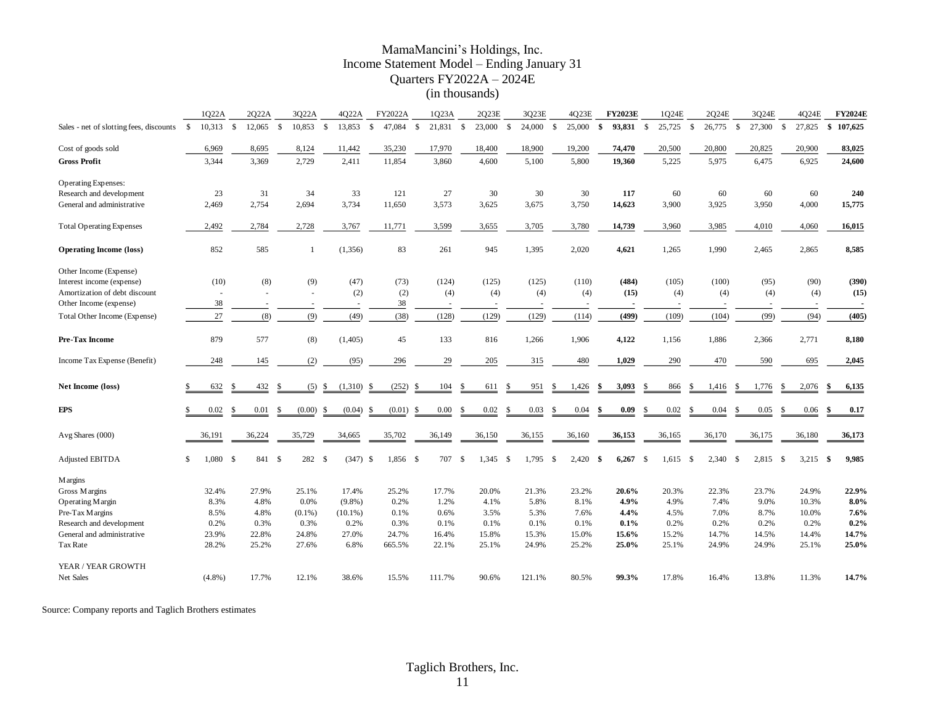#### MamaMancini's Holdings, Inc. Income Statement Model – Ending January 31 Quarters FY2022A – 2024E (in thousands)

|                                         |              | 1022A       |    | 2022A  |              | 3022A     |               | 4022A      |              | FY2022A  |                    | 1Q23A    |               | 2Q23E  |                    | 3023E     |      | 4023E  |              | <b>FY2023E</b> |               | 1Q24E  |          | 2Q24E  |               | 3024E    |                    | 4024E      |     | <b>FY2024E</b> |
|-----------------------------------------|--------------|-------------|----|--------|--------------|-----------|---------------|------------|--------------|----------|--------------------|----------|---------------|--------|--------------------|-----------|------|--------|--------------|----------------|---------------|--------|----------|--------|---------------|----------|--------------------|------------|-----|----------------|
| Sales - net of slotting fees, discounts | $\mathbf{s}$ | $10,313$ \$ |    | 12,065 | $\mathbf{s}$ | 10,853    | - \$          | 13,853     | $\mathbf{s}$ | 47.084   | $\mathbf{\hat{S}}$ | 21,831   | $\mathcal{S}$ | 23,000 | $\mathbf{\hat{S}}$ | 24,000 \$ |      | 25,000 | $\mathbf{s}$ | 93,831         | -S            | 25,725 | <b>S</b> | 26,775 | $\mathbf{s}$  | 27,300   | $\mathbf{\hat{S}}$ | 27,825     | S.  | 107,625        |
| Cost of goods sold                      |              | 6,969       |    | 8,695  |              | 8,124     |               | 11,442     |              | 35,230   |                    | 17,970   |               | 18,400 |                    | 18,900    |      | 19,200 |              | 74,470         |               | 20,500 |          | 20,800 |               | 20,825   |                    | 20,900     |     | 83,025         |
| <b>Gross Profit</b>                     |              | 3,344       |    | 3,369  |              | 2,729     |               | 2,411      |              | 11,854   |                    | 3,860    |               | 4,600  |                    | 5,100     |      | 5,800  |              | 19,360         |               | 5,225  |          | 5,975  |               | 6,475    |                    | 6,925      |     | 24,600         |
| <b>Operating Expenses:</b>              |              |             |    |        |              |           |               |            |              |          |                    |          |               |        |                    |           |      |        |              |                |               |        |          |        |               |          |                    |            |     |                |
| Research and development                |              | 23          |    | 31     |              | 34        |               | 33         |              | 121      |                    | 27       |               | 30     |                    | 30        |      | 30     |              | 117            |               | 60     |          | 60     |               | 60       |                    | 60         |     | 240            |
| General and administrative              |              | 2,469       |    | 2,754  |              | 2,694     |               | 3,734      |              | 11,650   |                    | 3,573    |               | 3,625  |                    | 3,675     |      | 3,750  |              | 14,623         |               | 3,900  |          | 3,925  |               | 3,950    |                    | 4,000      |     | 15,775         |
| <b>Total Operating Expenses</b>         |              | 2,492       |    | 2,784  |              | 2,728     |               | 3,767      |              | 11,771   |                    | 3,599    |               | 3,655  |                    | 3,705     |      | 3,780  |              | 14,739         |               | 3,960  |          | 3,985  |               | 4,010    |                    | 4,060      |     | 16,015         |
| <b>Operating Income (loss)</b>          |              | 852         |    | 585    |              | 1         |               | (1,356)    |              | 83       |                    | 261      |               | 945    |                    | 1,395     |      | 2,020  |              | 4,621          |               | 1,265  |          | 1,990  |               | 2,465    |                    | 2,865      |     | 8,585          |
| Other Income (Expense)                  |              |             |    |        |              |           |               |            |              |          |                    |          |               |        |                    |           |      |        |              |                |               |        |          |        |               |          |                    |            |     |                |
| Interest income (expense)               |              | (10)        |    | (8)    |              | (9)       |               | (47)       |              | (73)     |                    | (124)    |               | (125)  |                    | (125)     |      | (110)  |              | (484)          |               | (105)  |          | (100)  |               | (95)     |                    | (90)       |     | (390)          |
| Amortization of debt discount           |              |             |    |        |              |           |               | (2)        |              | (2)      |                    | (4)      |               | (4)    |                    | (4)       |      | (4)    |              | (15)           |               | (4)    |          | (4)    |               | (4)      |                    | (4)        |     | (15)           |
| Other Income (expense)                  |              | 38          |    |        |              |           |               |            |              | 38       |                    |          |               |        |                    |           |      |        |              |                |               |        |          |        |               |          |                    |            |     |                |
| Total Other Income (Expense)            |              | 27          |    | (8)    |              | (9)       |               | (49)       |              | (38)     |                    | (128)    |               | (129)  |                    | (129)     |      | (114)  |              | (499)          |               | (109)  |          | (104)  |               | (99)     |                    | (94)       |     | (405)          |
| Pre-Tax Income                          |              | 879         |    | 577    |              | (8)       |               | (1,405)    |              | 45       |                    | 133      |               | 816    |                    | 1,266     |      | 1,906  |              | 4,122          |               | 1,156  |          | 1,886  |               | 2,366    |                    | 2,771      |     | 8,180          |
| Income Tax Expense (Benefit)            |              | 248         |    | 145    |              | (2)       |               | (95)       |              | 296      |                    | 29       |               | 205    |                    | 315       |      | 480    |              | 1,029          |               | 290    |          | 470    |               | 590      |                    | 695        |     | 2,045          |
| Net Income (loss)                       | \$           | 632         | S  | 432    | -8           | (5)       | <sup>\$</sup> | (1,310)    | -S           | (252)    | -\$                | 104      | <b>S</b>      | 611    | \$                 | 951       | \$   | 1,426  | \$           | 3,093          | \$.           | 866    | -8       | 1,416  |               | 1,776    | -S                 | 2,076      | \$  | 6,135          |
| <b>EPS</b>                              | \$           | 0.02        | -S | 0.01   | \$           | (0.00)    | \$            | (0.04)     | -\$          | (0.01)   | \$                 | $0.00\,$ | \$            | 0.02   | \$                 | 0.03      | \$   | 0.04   | \$           | 0.09           | -\$           | 0.02   | S.       | 0.04   | \$            | 0.05     | S.                 | 0.06       | -\$ | 0.17           |
| Avg Shares (000)                        |              | 36,191      |    | 36,224 |              | 35,729    |               | 34,665     |              | 35,702   |                    | 36,149   |               | 36,150 |                    | 36,155    |      | 36,160 |              | 36,153         |               | 36,165 |          | 36,170 |               | 36,175   |                    | 36,180     |     | 36,173         |
| Adjusted EBITDA                         | \$           | 1,080       | -S | 841 \$ |              | 282 \$    |               | $(347)$ \$ |              | 1,856 \$ |                    | 707      | <sup>\$</sup> | 1,345  | - \$               | 1,795     | - \$ | 2,420  | -\$          | 6,267          | $\mathcal{S}$ | 1,615  | - \$     | 2,340  | $\mathcal{S}$ | 2,815 \$ |                    | $3,215$ \$ |     | 9,985          |
| <b>Margins</b>                          |              |             |    |        |              |           |               |            |              |          |                    |          |               |        |                    |           |      |        |              |                |               |        |          |        |               |          |                    |            |     |                |
| Gross Margins                           |              | 32.4%       |    | 27.9%  |              | 25.1%     |               | 17.4%      |              | 25.2%    |                    | 17.7%    |               | 20.0%  |                    | 21.3%     |      | 23.2%  |              | 20.6%          |               | 20.3%  |          | 22.3%  |               | 23.7%    |                    | 24.9%      |     | 22.9%          |
| Operating Margin                        |              | 8.3%        |    | 4.8%   |              | 0.0%      |               | $(9.8\%)$  |              | 0.2%     |                    | 1.2%     |               | 4.1%   |                    | 5.8%      |      | 8.1%   |              | 4.9%           |               | 4.9%   |          | 7.4%   |               | 9.0%     |                    | 10.3%      |     | $8.0\%$        |
| Pre-Tax Margins                         |              | 8.5%        |    | 4.8%   |              | $(0.1\%)$ |               | $(10.1\%)$ |              | 0.1%     |                    | 0.6%     |               | 3.5%   |                    | 5.3%      |      | 7.6%   |              | 4.4%           |               | 4.5%   |          | 7.0%   |               | 8.7%     |                    | 10.0%      |     | 7.6%           |
| Research and development                |              | 0.2%        |    | 0.3%   |              | 0.3%      |               | 0.2%       |              | 0.3%     |                    | 0.1%     |               | 0.1%   |                    | 0.1%      |      | 0.1%   |              | 0.1%           |               | 0.2%   |          | 0.2%   |               | 0.2%     |                    | 0.2%       |     | 0.2%           |
| General and administrative              |              | 23.9%       |    | 22.8%  |              | 24.8%     |               | 27.0%      |              | 24.7%    |                    | 16.4%    |               | 15.8%  |                    | 15.3%     |      | 15.0%  |              | 15.6%          |               | 15.2%  |          | 14.7%  |               | 14.5%    |                    | 14.4%      |     | 14.7%          |
| Tax Rate                                |              | 28.2%       |    | 25.2%  |              | 27.6%     |               | 6.8%       |              | 665.5%   |                    | 22.1%    |               | 25.1%  |                    | 24.9%     |      | 25.2%  |              | 25.0%          |               | 25.1%  |          | 24.9%  |               | 24.9%    |                    | 25.1%      |     | 25.0%          |
| YEAR / YEAR GROWTH                      |              |             |    |        |              |           |               |            |              |          |                    |          |               |        |                    |           |      |        |              |                |               |        |          |        |               |          |                    |            |     |                |
| Net Sales                               |              | $(4.8\%)$   |    | 17.7%  |              | 12.1%     |               | 38.6%      |              | 15.5%    |                    | 111.7%   |               | 90.6%  |                    | 121.1%    |      | 80.5%  |              | 99.3%          |               | 17.8%  |          | 16.4%  |               | 13.8%    |                    | 11.3%      |     | 14.7%          |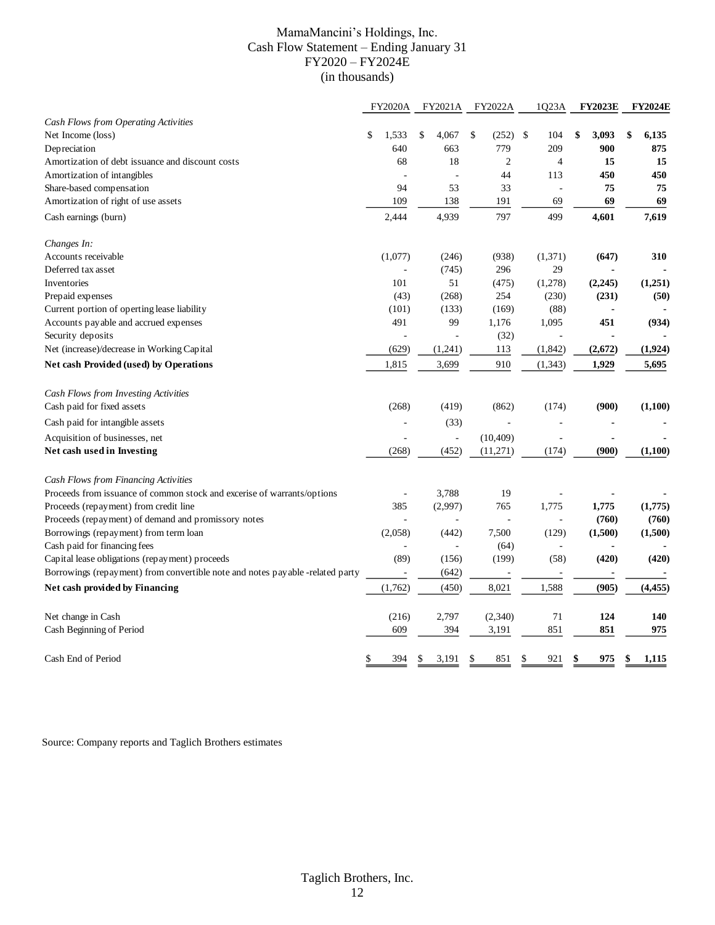#### MamaMancini's Holdings, Inc. Cash Flow Statement – Ending January 31 FY2020 – FY2024E (in thousands)

|                                                                               | <b>FY2020A</b> |                | FY2021A     | FY2022A                  | 1Q23A                    | <b>FY2023E</b> | <b>FY2024E</b> |
|-------------------------------------------------------------------------------|----------------|----------------|-------------|--------------------------|--------------------------|----------------|----------------|
| Cash Flows from Operating Activities                                          |                |                |             |                          |                          |                |                |
| Net Income (loss)                                                             | \$<br>1,533    |                | \$<br>4,067 | \$<br>(252)              | \$<br>104                | \$<br>3,093    | \$<br>6,135    |
| Depreciation                                                                  | 640            |                | 663         | 779                      | 209                      | 900            | 875            |
| Amortization of debt issuance and discount costs                              | 68             |                | 18          | $\overline{2}$           | 4                        | 15             | 15             |
| Amortization of intangibles                                                   |                | $\overline{a}$ | ÷.          | 44                       | 113                      | 450            | 450            |
| Share-based compensation                                                      | 94             |                | 53          | 33                       |                          | 75             | 75             |
| Amortization of right of use assets                                           | 109            |                | 138         | 191                      | 69                       | 69             | 69             |
| Cash earnings (burn)                                                          | 2,444          |                | 4,939       | 797                      | 499                      | 4,601          | 7,619          |
| Changes In:                                                                   |                |                |             |                          |                          |                |                |
| Accounts receivable                                                           | (1,077)        |                | (246)       | (938)                    | (1,371)                  | (647)          | 310            |
| Deferred tax asset                                                            |                | L,             | (745)       | 296                      | 29                       |                |                |
| Inventories                                                                   | 101            |                | 51          | (475)                    | (1,278)                  | (2, 245)       | (1,251)        |
| Prepaid expenses                                                              | (43)           |                | (268)       | 254                      | (230)                    | (231)          | (50)           |
| Current portion of operting lease liability                                   | (101)          |                | (133)       | (169)                    | (88)                     |                |                |
| Accounts payable and accrued expenses                                         | 491            |                | 99          | 1,176                    | 1,095                    | 451            | (934)          |
| Security deposits                                                             |                |                |             | (32)                     |                          |                |                |
| Net (increase)/decrease in Working Capital                                    | (629)          |                | (1,241)     | 113                      | (1, 842)                 | (2,672)        | (1,924)        |
| Net cash Provided (used) by Operations                                        | 1,815          |                | 3,699       | 910                      | (1, 343)                 | 1,929          | 5,695          |
| Cash Flows from Investing Activities                                          |                |                |             |                          |                          |                |                |
| Cash paid for fixed assets                                                    | (268)          |                | (419)       | (862)                    | (174)                    | (900)          | (1,100)        |
| Cash paid for intangible assets                                               |                | ÷,             | (33)        | $\overline{\phantom{a}}$ |                          |                |                |
| Acquisition of businesses, net                                                |                | ä,             | ÷,          | (10, 409)                |                          |                |                |
| Net cash used in Investing                                                    | (268)          |                | (452)       | (11, 271)                | (174)                    | (900)          | (1,100)        |
| Cash Flows from Financing Activities                                          |                |                |             |                          |                          |                |                |
| Proceeds from issuance of common stock and excerise of warrants/options       |                |                | 3,788       | 19                       |                          |                |                |
| Proceeds (repayment) from credit line                                         | 385            |                | (2,997)     | 765                      | 1,775                    | 1,775          | (1,775)        |
| Proceeds (repayment) of demand and promissory notes                           |                |                |             |                          |                          | (760)          | (760)          |
| Borrowings (repayment) from term loan                                         | (2,058)        |                | (442)       | 7,500                    | (129)                    | (1,500)        | (1,500)        |
| Cash paid for financing fees                                                  |                |                | $\bar{a}$   | (64)                     | $\overline{\phantom{a}}$ |                |                |
| Capital lease obligations (repayment) proceeds                                | (89)           |                | (156)       | (199)                    | (58)                     | (420)          | (420)          |
| Borrowings (repayment) from convertible note and notes payable -related party |                |                | (642)       | ÷,                       | ÷,                       |                |                |
| Net cash provided by Financing                                                | (1,762)        |                | (450)       | 8,021                    | 1,588                    | (905)          | (4, 455)       |
| Net change in Cash                                                            | (216)          |                | 2,797       | (2,340)                  | 71                       | 124            | 140            |
| Cash Beginning of Period                                                      | 609            |                | 394         | 3,191                    | 851                      | 851            | 975            |
| Cash End of Period                                                            | \$<br>394      |                | \$<br>3,191 | \$<br>851                | \$<br>921                | \$<br>975      | \$<br>1,115    |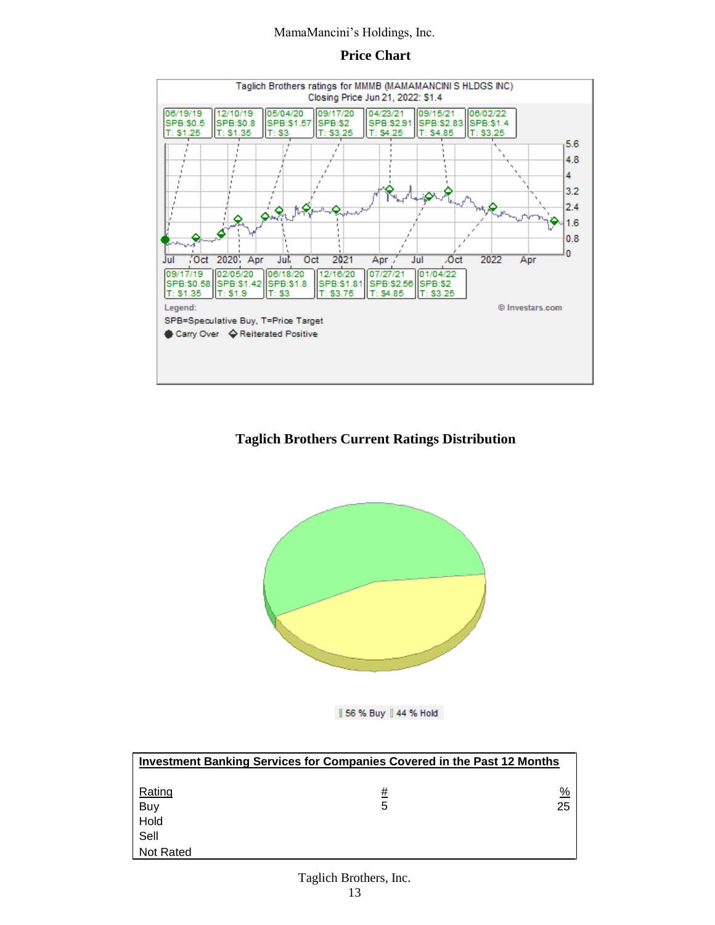#### **Price Chart**



### **Taglich Brothers Current Ratings Distribution**



| 56 % Buy | 44 % Hold

|           | Investment Banking Services for Companies Covered in the Past 12 Months |    |
|-----------|-------------------------------------------------------------------------|----|
| Rating    | <u>#</u>                                                                | %  |
| Buy       | 5                                                                       | 25 |
| Hold      |                                                                         |    |
| Sell      |                                                                         |    |
| Not Rated |                                                                         |    |

# Taglich Brothers, Inc.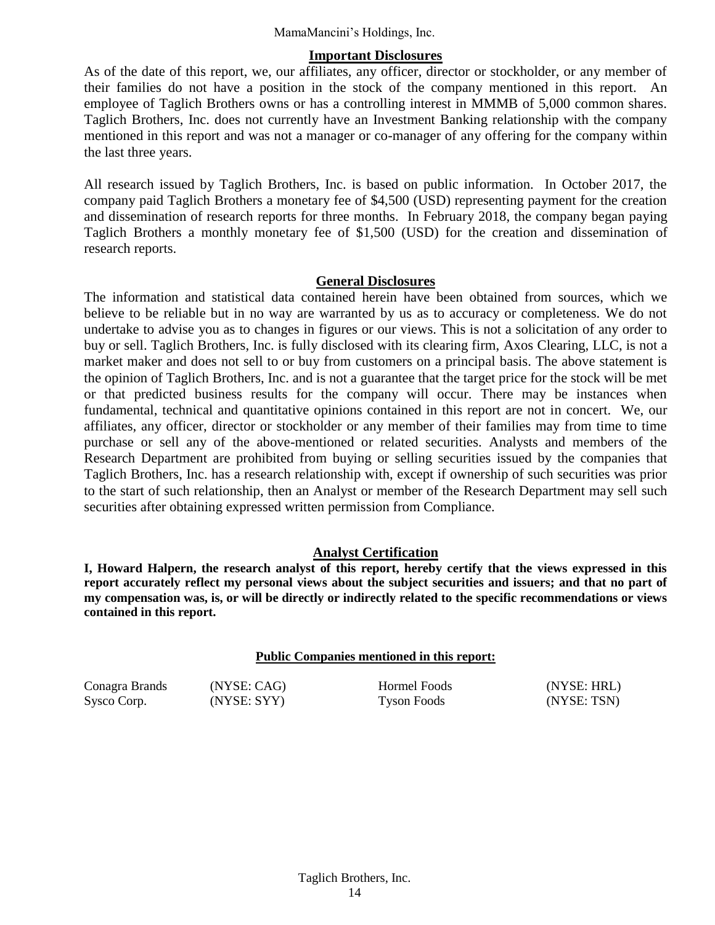#### **Important Disclosures**

As of the date of this report, we, our affiliates, any officer, director or stockholder, or any member of their families do not have a position in the stock of the company mentioned in this report. An employee of Taglich Brothers owns or has a controlling interest in MMMB of 5,000 common shares. Taglich Brothers, Inc. does not currently have an Investment Banking relationship with the company mentioned in this report and was not a manager or co-manager of any offering for the company within the last three years.

All research issued by Taglich Brothers, Inc. is based on public information. In October 2017, the company paid Taglich Brothers a monetary fee of \$4,500 (USD) representing payment for the creation and dissemination of research reports for three months. In February 2018, the company began paying Taglich Brothers a monthly monetary fee of \$1,500 (USD) for the creation and dissemination of research reports.

#### **General Disclosures**

The information and statistical data contained herein have been obtained from sources, which we believe to be reliable but in no way are warranted by us as to accuracy or completeness. We do not undertake to advise you as to changes in figures or our views. This is not a solicitation of any order to buy or sell. Taglich Brothers, Inc. is fully disclosed with its clearing firm, Axos Clearing, LLC, is not a market maker and does not sell to or buy from customers on a principal basis. The above statement is the opinion of Taglich Brothers, Inc. and is not a guarantee that the target price for the stock will be met or that predicted business results for the company will occur. There may be instances when fundamental, technical and quantitative opinions contained in this report are not in concert. We, our affiliates, any officer, director or stockholder or any member of their families may from time to time purchase or sell any of the above-mentioned or related securities. Analysts and members of the Research Department are prohibited from buying or selling securities issued by the companies that Taglich Brothers, Inc. has a research relationship with, except if ownership of such securities was prior to the start of such relationship, then an Analyst or member of the Research Department may sell such securities after obtaining expressed written permission from Compliance.

#### **Analyst Certification**

**I, Howard Halpern, the research analyst of this report, hereby certify that the views expressed in this report accurately reflect my personal views about the subject securities and issuers; and that no part of my compensation was, is, or will be directly or indirectly related to the specific recommendations or views contained in this report.**

#### **Public Companies mentioned in this report:**

Conagra Brands (NYSE: CAG) Hormel Foods (NYSE: HRL)

Sysco Corp. (NYSE: SYY) Tyson Foods (NYSE: TSN)